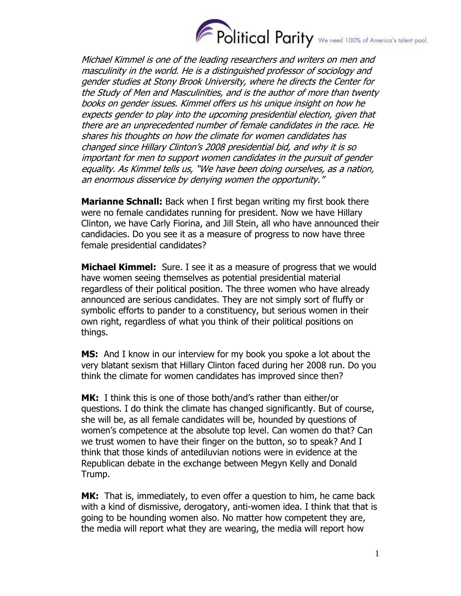

Michael Kimmel is one of the leading researchers and writers on men and masculinity in the world. He is a distinguished professor of sociology and gender studies at Stony Brook University, where he directs the Center for the Study of Men and Masculinities, and is the author of more than twenty books on gender issues. Kimmel offers us his unique insight on how he expects gender to play into the upcoming presidential election, given that there are an unprecedented number of female candidates in the race. He shares his thoughts on how the climate for women candidates has changed since Hillary Clinton's 2008 presidential bid, and why it is so important for men to support women candidates in the pursuit of gender equality. As Kimmel tells us, "We have been doing ourselves, as a nation, an enormous disservice by denying women the opportunity."

**Marianne Schnall:** Back when I first began writing my first book there were no female candidates running for president. Now we have Hillary Clinton, we have Carly Fiorina, and Jill Stein, all who have announced their candidacies. Do you see it as a measure of progress to now have three female presidential candidates?

**Michael Kimmel:** Sure. I see it as a measure of progress that we would have women seeing themselves as potential presidential material regardless of their political position. The three women who have already announced are serious candidates. They are not simply sort of fluffy or symbolic efforts to pander to a constituency, but serious women in their own right, regardless of what you think of their political positions on things.

**MS:** And I know in our interview for my book you spoke a lot about the very blatant sexism that Hillary Clinton faced during her 2008 run. Do you think the climate for women candidates has improved since then?

**MK:** I think this is one of those both/and's rather than either/or questions. I do think the climate has changed significantly. But of course, she will be, as all female candidates will be, hounded by questions of women's competence at the absolute top level. Can women do that? Can we trust women to have their finger on the button, so to speak? And I think that those kinds of antediluvian notions were in evidence at the Republican debate in the exchange between Megyn Kelly and Donald Trump.

**MK:** That is, immediately, to even offer a question to him, he came back with a kind of dismissive, derogatory, anti-women idea. I think that that is going to be hounding women also. No matter how competent they are, the media will report what they are wearing, the media will report how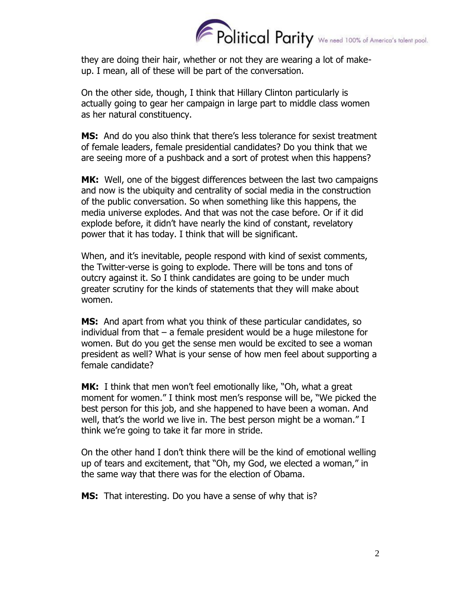

they are doing their hair, whether or not they are wearing a lot of makeup. I mean, all of these will be part of the conversation.

On the other side, though, I think that Hillary Clinton particularly is actually going to gear her campaign in large part to middle class women as her natural constituency.

**MS:** And do you also think that there's less tolerance for sexist treatment of female leaders, female presidential candidates? Do you think that we are seeing more of a pushback and a sort of protest when this happens?

**MK:** Well, one of the biggest differences between the last two campaigns and now is the ubiquity and centrality of social media in the construction of the public conversation. So when something like this happens, the media universe explodes. And that was not the case before. Or if it did explode before, it didn't have nearly the kind of constant, revelatory power that it has today. I think that will be significant.

When, and it's inevitable, people respond with kind of sexist comments, the Twitter-verse is going to explode. There will be tons and tons of outcry against it. So I think candidates are going to be under much greater scrutiny for the kinds of statements that they will make about women.

**MS:** And apart from what you think of these particular candidates, so individual from that – a female president would be a huge milestone for women. But do you get the sense men would be excited to see a woman president as well? What is your sense of how men feel about supporting a female candidate?

**MK:** I think that men won't feel emotionally like, "Oh, what a great moment for women." I think most men's response will be, "We picked the best person for this job, and she happened to have been a woman. And well, that's the world we live in. The best person might be a woman." I think we're going to take it far more in stride.

On the other hand I don't think there will be the kind of emotional welling up of tears and excitement, that "Oh, my God, we elected a woman," in the same way that there was for the election of Obama.

**MS:** That interesting. Do you have a sense of why that is?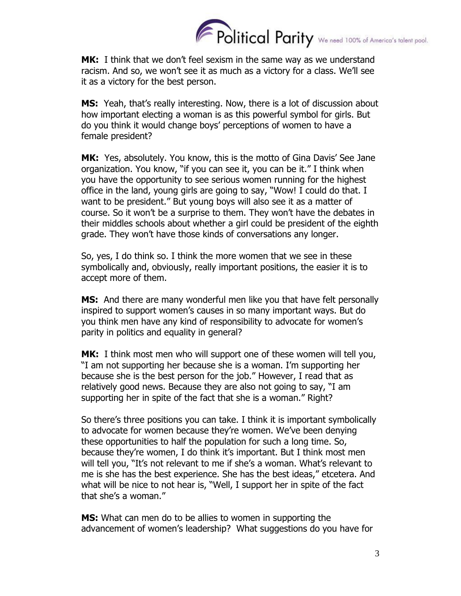

**MK:** I think that we don't feel sexism in the same way as we understand racism. And so, we won't see it as much as a victory for a class. We'll see it as a victory for the best person.

**MS:** Yeah, that's really interesting. Now, there is a lot of discussion about how important electing a woman is as this powerful symbol for girls. But do you think it would change boys' perceptions of women to have a female president?

**MK:** Yes, absolutely. You know, this is the motto of Gina Davis' See Jane organization. You know, "if you can see it, you can be it." I think when you have the opportunity to see serious women running for the highest office in the land, young girls are going to say, "Wow! I could do that. I want to be president." But young boys will also see it as a matter of course. So it won't be a surprise to them. They won't have the debates in their middles schools about whether a girl could be president of the eighth grade. They won't have those kinds of conversations any longer.

So, yes, I do think so. I think the more women that we see in these symbolically and, obviously, really important positions, the easier it is to accept more of them.

**MS:** And there are many wonderful men like you that have felt personally inspired to support women's causes in so many important ways. But do you think men have any kind of responsibility to advocate for women's parity in politics and equality in general?

**MK:** I think most men who will support one of these women will tell you, "I am not supporting her because she is a woman. I'm supporting her because she is the best person for the job." However, I read that as relatively good news. Because they are also not going to say, "I am supporting her in spite of the fact that she is a woman." Right?

So there's three positions you can take. I think it is important symbolically to advocate for women because they're women. We've been denying these opportunities to half the population for such a long time. So, because they're women, I do think it's important. But I think most men will tell you, "It's not relevant to me if she's a woman. What's relevant to me is she has the best experience. She has the best ideas," etcetera. And what will be nice to not hear is, "Well, I support her in spite of the fact that she's a woman."

**MS:** What can men do to be allies to women in supporting the advancement of women's leadership? What suggestions do you have for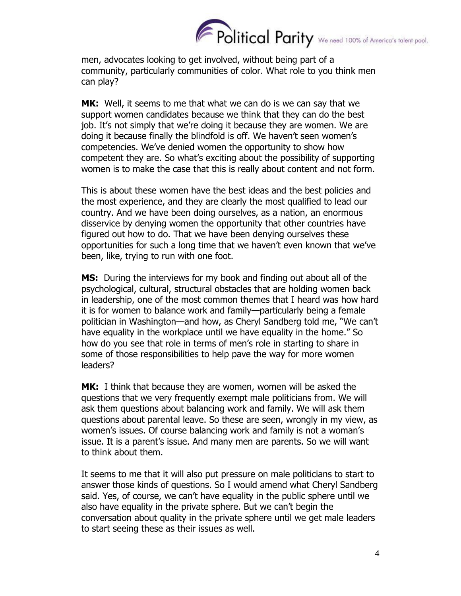

men, advocates looking to get involved, without being part of a community, particularly communities of color. What role to you think men can play?

**MK:** Well, it seems to me that what we can do is we can say that we support women candidates because we think that they can do the best job. It's not simply that we're doing it because they are women. We are doing it because finally the blindfold is off. We haven't seen women's competencies. We've denied women the opportunity to show how competent they are. So what's exciting about the possibility of supporting women is to make the case that this is really about content and not form.

This is about these women have the best ideas and the best policies and the most experience, and they are clearly the most qualified to lead our country. And we have been doing ourselves, as a nation, an enormous disservice by denying women the opportunity that other countries have figured out how to do. That we have been denying ourselves these opportunities for such a long time that we haven't even known that we've been, like, trying to run with one foot.

**MS:** During the interviews for my book and finding out about all of the psychological, cultural, structural obstacles that are holding women back in leadership, one of the most common themes that I heard was how hard it is for women to balance work and family—particularly being a female politician in Washington—and how, as Cheryl Sandberg told me, "We can't have equality in the workplace until we have equality in the home." So how do you see that role in terms of men's role in starting to share in some of those responsibilities to help pave the way for more women leaders?

**MK:** I think that because they are women, women will be asked the questions that we very frequently exempt male politicians from. We will ask them questions about balancing work and family. We will ask them questions about parental leave. So these are seen, wrongly in my view, as women's issues. Of course balancing work and family is not a woman's issue. It is a parent's issue. And many men are parents. So we will want to think about them.

It seems to me that it will also put pressure on male politicians to start to answer those kinds of questions. So I would amend what Cheryl Sandberg said. Yes, of course, we can't have equality in the public sphere until we also have equality in the private sphere. But we can't begin the conversation about quality in the private sphere until we get male leaders to start seeing these as their issues as well.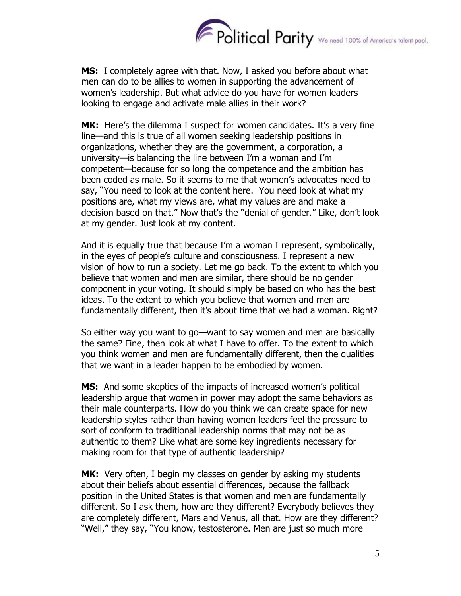

**MS:** I completely agree with that. Now, I asked you before about what men can do to be allies to women in supporting the advancement of women's leadership. But what advice do you have for women leaders looking to engage and activate male allies in their work?

**MK:** Here's the dilemma I suspect for women candidates. It's a very fine line—and this is true of all women seeking leadership positions in organizations, whether they are the government, a corporation, a university—is balancing the line between I'm a woman and I'm competent—because for so long the competence and the ambition has been coded as male. So it seems to me that women's advocates need to say, "You need to look at the content here. You need look at what my positions are, what my views are, what my values are and make a decision based on that." Now that's the "denial of gender." Like, don't look at my gender. Just look at my content.

And it is equally true that because I'm a woman I represent, symbolically, in the eyes of people's culture and consciousness. I represent a new vision of how to run a society. Let me go back. To the extent to which you believe that women and men are similar, there should be no gender component in your voting. It should simply be based on who has the best ideas. To the extent to which you believe that women and men are fundamentally different, then it's about time that we had a woman. Right?

So either way you want to go—want to say women and men are basically the same? Fine, then look at what I have to offer. To the extent to which you think women and men are fundamentally different, then the qualities that we want in a leader happen to be embodied by women.

**MS:** And some skeptics of the impacts of increased women's political leadership argue that women in power may adopt the same behaviors as their male counterparts. How do you think we can create space for new leadership styles rather than having women leaders feel the pressure to sort of conform to traditional leadership norms that may not be as authentic to them? Like what are some key ingredients necessary for making room for that type of authentic leadership?

**MK:** Very often, I begin my classes on gender by asking my students about their beliefs about essential differences, because the fallback position in the United States is that women and men are fundamentally different. So I ask them, how are they different? Everybody believes they are completely different, Mars and Venus, all that. How are they different? "Well," they say, "You know, testosterone. Men are just so much more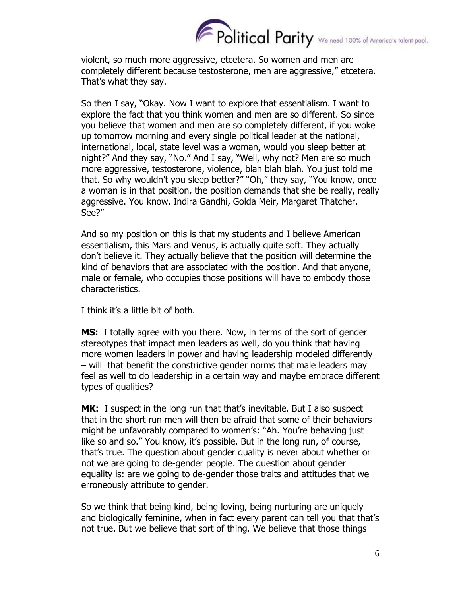

violent, so much more aggressive, etcetera. So women and men are completely different because testosterone, men are aggressive," etcetera. That's what they say.

So then I say, "Okay. Now I want to explore that essentialism. I want to explore the fact that you think women and men are so different. So since you believe that women and men are so completely different, if you woke up tomorrow morning and every single political leader at the national, international, local, state level was a woman, would you sleep better at night?" And they say, "No." And I say, "Well, why not? Men are so much more aggressive, testosterone, violence, blah blah blah. You just told me that. So why wouldn't you sleep better?" "Oh," they say, "You know, once a woman is in that position, the position demands that she be really, really aggressive. You know, Indira Gandhi, Golda Meir, Margaret Thatcher. See?"

And so my position on this is that my students and I believe American essentialism, this Mars and Venus, is actually quite soft. They actually don't believe it. They actually believe that the position will determine the kind of behaviors that are associated with the position. And that anyone, male or female, who occupies those positions will have to embody those characteristics.

I think it's a little bit of both.

**MS:** I totally agree with you there. Now, in terms of the sort of gender stereotypes that impact men leaders as well, do you think that having more women leaders in power and having leadership modeled differently – will that benefit the constrictive gender norms that male leaders may feel as well to do leadership in a certain way and maybe embrace different types of qualities?

**MK:** I suspect in the long run that that's inevitable. But I also suspect that in the short run men will then be afraid that some of their behaviors might be unfavorably compared to women's: "Ah. You're behaving just like so and so." You know, it's possible. But in the long run, of course, that's true. The question about gender quality is never about whether or not we are going to de-gender people. The question about gender equality is: are we going to de-gender those traits and attitudes that we erroneously attribute to gender.

So we think that being kind, being loving, being nurturing are uniquely and biologically feminine, when in fact every parent can tell you that that's not true. But we believe that sort of thing. We believe that those things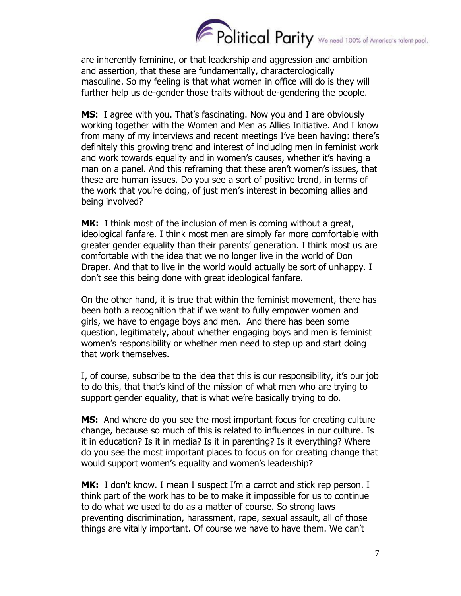

are inherently feminine, or that leadership and aggression and ambition and assertion, that these are fundamentally, characterologically masculine. So my feeling is that what women in office will do is they will further help us de-gender those traits without de-gendering the people.

**MS:** I agree with you. That's fascinating. Now you and I are obviously working together with the Women and Men as Allies Initiative. And I know from many of my interviews and recent meetings I've been having: there's definitely this growing trend and interest of including men in feminist work and work towards equality and in women's causes, whether it's having a man on a panel. And this reframing that these aren't women's issues, that these are human issues. Do you see a sort of positive trend, in terms of the work that you're doing, of just men's interest in becoming allies and being involved?

**MK:** I think most of the inclusion of men is coming without a great, ideological fanfare. I think most men are simply far more comfortable with greater gender equality than their parents' generation. I think most us are comfortable with the idea that we no longer live in the world of Don Draper. And that to live in the world would actually be sort of unhappy. I don't see this being done with great ideological fanfare.

On the other hand, it is true that within the feminist movement, there has been both a recognition that if we want to fully empower women and girls, we have to engage boys and men. And there has been some question, legitimately, about whether engaging boys and men is feminist women's responsibility or whether men need to step up and start doing that work themselves.

I, of course, subscribe to the idea that this is our responsibility, it's our job to do this, that that's kind of the mission of what men who are trying to support gender equality, that is what we're basically trying to do.

**MS:** And where do you see the most important focus for creating culture change, because so much of this is related to influences in our culture. Is it in education? Is it in media? Is it in parenting? Is it everything? Where do you see the most important places to focus on for creating change that would support women's equality and women's leadership?

**MK:** I don't know. I mean I suspect I'm a carrot and stick rep person. I think part of the work has to be to make it impossible for us to continue to do what we used to do as a matter of course. So strong laws preventing discrimination, harassment, rape, sexual assault, all of those things are vitally important. Of course we have to have them. We can't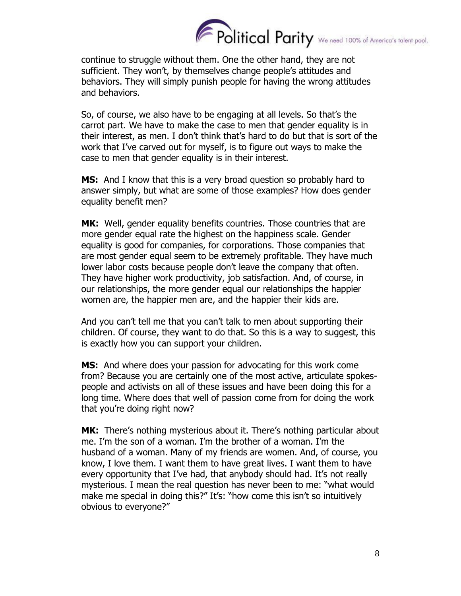

continue to struggle without them. One the other hand, they are not sufficient. They won't, by themselves change people's attitudes and behaviors. They will simply punish people for having the wrong attitudes and behaviors.

So, of course, we also have to be engaging at all levels. So that's the carrot part. We have to make the case to men that gender equality is in their interest, as men. I don't think that's hard to do but that is sort of the work that I've carved out for myself, is to figure out ways to make the case to men that gender equality is in their interest.

**MS:** And I know that this is a very broad question so probably hard to answer simply, but what are some of those examples? How does gender equality benefit men?

**MK:** Well, gender equality benefits countries. Those countries that are more gender equal rate the highest on the happiness scale. Gender equality is good for companies, for corporations. Those companies that are most gender equal seem to be extremely profitable. They have much lower labor costs because people don't leave the company that often. They have higher work productivity, job satisfaction. And, of course, in our relationships, the more gender equal our relationships the happier women are, the happier men are, and the happier their kids are.

And you can't tell me that you can't talk to men about supporting their children. Of course, they want to do that. So this is a way to suggest, this is exactly how you can support your children.

**MS:** And where does your passion for advocating for this work come from? Because you are certainly one of the most active, articulate spokespeople and activists on all of these issues and have been doing this for a long time. Where does that well of passion come from for doing the work that you're doing right now?

**MK:** There's nothing mysterious about it. There's nothing particular about me. I'm the son of a woman. I'm the brother of a woman. I'm the husband of a woman. Many of my friends are women. And, of course, you know, I love them. I want them to have great lives. I want them to have every opportunity that I've had, that anybody should had. It's not really mysterious. I mean the real question has never been to me: "what would make me special in doing this?" It's: "how come this isn't so intuitively obvious to everyone?"